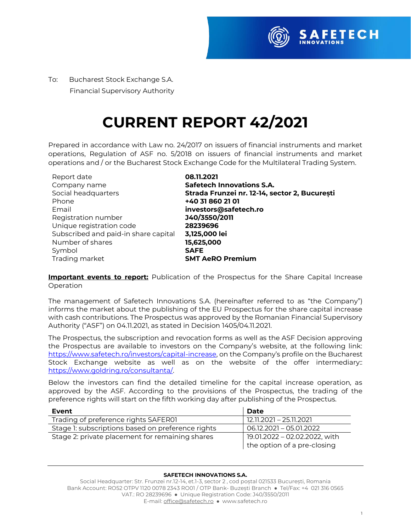

To:Bucharest Stock Exchange S.A. Financial Supervisory Authority

## **CURRENT REPORT 42/2021**

Prepared in accordance with Law no. 24/2017 on issuers of financial instruments and market operations, Regulation of ASF no. 5/2018 on issuers of financial instruments and market operations and / or the Bucharest Stock Exchange Code for the Multilateral Trading System.

| Report date                          | 08.11.2021                                    |
|--------------------------------------|-----------------------------------------------|
| Company name                         | <b>Safetech Innovations S.A.</b>              |
| Social headquarters                  | Strada Frunzei nr. 12-14, sector 2, București |
| Phone                                | +40 31 860 21 01                              |
| Email                                | investors@safetech.ro                         |
| Registration number                  | J40/3550/2011                                 |
| Unique registration code             | 28239696                                      |
| Subscribed and paid-in share capital | 3,125,000 lei                                 |
| Number of shares                     | 15,625,000                                    |
| Symbol                               | <b>SAFE</b>                                   |
| Trading market                       | <b>SMT AeRO Premium</b>                       |

**Important events to report:** Publication of the Prospectus for the Share Capital Increase Operation

The management of Safetech Innovations S.A. (hereinafter referred to as "the Company") informs the market about the publishing of the EU Prospectus for the share capital increase with cash contributions. The Prospectus was approved by the Romanian Financial Supervisory Authority ("ASF") on 04.11.2021, as stated in Decision 1405/04.11.2021.

The Prospectus, the subscription and revocation forms as well as the ASF Decision approving the Prospectus are available to investors on the Company's website, at the following link: [https://www.safetech.ro/investors/capital-increase,](https://www.safetech.ro/investors/capital-increase) on the Company's profile on the Bucharest Stock Exchange website as well as on the website of the offer intermediary:: [https://www.goldring.ro/consultanta/.](https://www.goldring.ro/consultanta/)

Below the investors can find the detailed timeline for the capital increase operation, as approved by the ASF. According to the provisions of the Prospectus, the trading of the preference rights will start on the fifth working day after publishing of the Prospectus.

| Event                                             | Date                                                         |
|---------------------------------------------------|--------------------------------------------------------------|
| Trading of preference rights SAFER01              | 12.11.2021 - 25.11.2021                                      |
| Stage 1: subscriptions based on preference rights | 06.12.2021 - 05.01.2022                                      |
| Stage 2: private placement for remaining shares   | 19.01.2022 - 02.02.2022, with<br>the option of a pre-closing |

## **SAFETECH INNOVATIONS S.A.**

Social Headquarter: Str. Frunzei nr.12-14, et.1-3, sector 2 , cod poștal 021533 București, Romania Bank Account: RO52 OTPV 1120 0078 2343 RO01 / OTP Bank- Buzești Branch ● Tel/Fax: +4 021 316 0565 VAT.: RO 28239696 ● Unique Registration Code: J40/3550/2011 E-mail[: office@safetech.ro](mailto:office@safetech.ro) ● www.safetech.ro